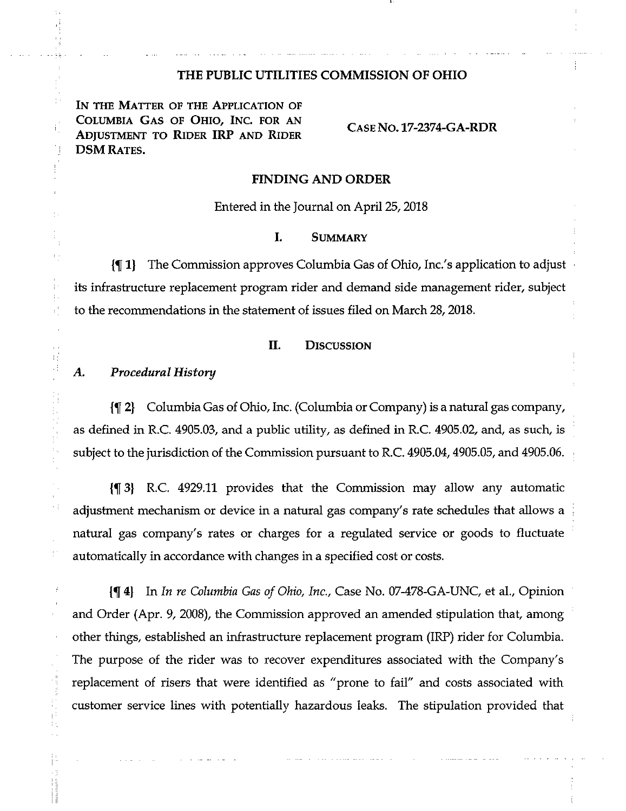#### THE PUBLIC UTILITIES COMMISSION OF OHIO

In the Matter of the Application of Columbia Gas of Ohio, Inc. for an Adjustment to Rider IRP and Rider DSM RATES.

Case No. 17-2374-GA-RDR

#### FINDING AND ORDER

Entered in the Journal on April 25,2018

## I. SUMMARY

1} The Commission approves Columbia Gas of Ohio, Inc/s application to adjust its infrastructure replacement program rider and demand side management rider, subject to the recommendations in the statement of issues filed on March 28, 2018.

#### II. Discussion

#### *A. Procedural History*

τí

(If 2} Columbia Gas of Ohio, Inc. (Columbia orCompany) is a natural gas company, as defined in R.C. 4905.03, and a public utility, as defined in R.C. 4905.02, and, as such, is subject to the jurisdiction of the Commission pursuant to R.C. 4905.04, 4905.05, and 4905.06.

 $\{\P\}$  R.C. 4929.11 provides that the Commission may allow any automatic adjustment mechanism or device in a natural gas company's rate schedules that allows a natural gas company's rates or charges for a regulated service or goods to fluctuate automatically in accordance with changes in a specified cost or costs.

4} In In re Columbia Gas of Ohio, Inc., Case No. 07-478-GA-UNC, et al.. Opinion and Order (Apr. 9, 2008), the Commission approved an amended stipulation that, among other things, established an infrastructure replacement program (IRP) rider for Columbia. The purpose of the rider was to recover expenditures associated with the Company's replacement of risers that were identified as "prone to fail" and costs associated with customer service lines with potentially hazardous leaks. The stipulation provided that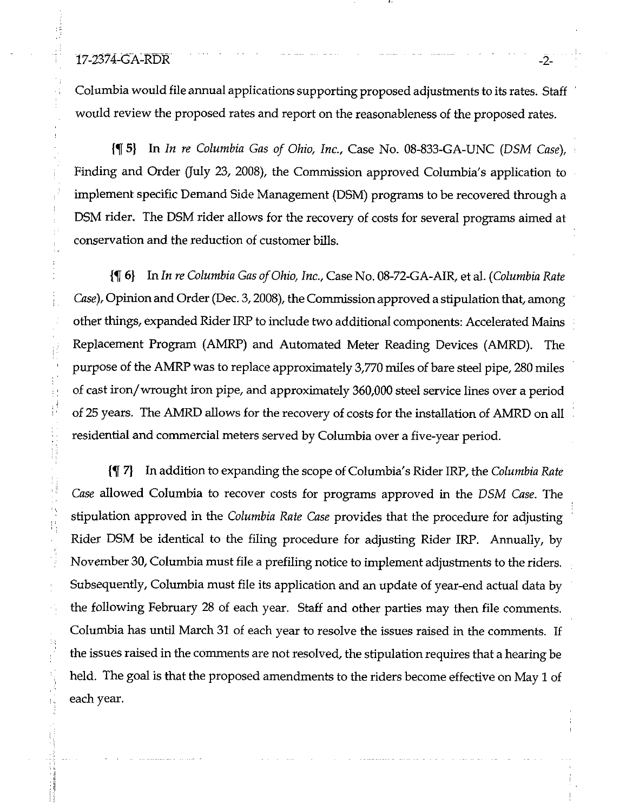# 17-2374-GA-RDR -2-

Columbia would file annual applications supporting proposed adjustments to its rates. Staff would review the proposed rates and report on the reasonableness of the proposed rates.

5) In In re Columbia Gas of Ohio, Inc., Case No. 08-833-GA-UNC (DSM Case), Finding and Order (July 23, 2008), the Commission approved Columbia's application to implement specific Demand Side Management (DSM) programs to be recovered through a DSM rider. The DSM rider allows for the recovery of costs for several programs aimed at conservation and the reduction of customer bills.

{![ 6} In In re Columbia Gas ofOhio, Inc., Case No. 08-72-GA-AIR, et al. (Columbia Rate Case), Opinion and Order (Dec. 3, 2008), the Commission approved a stipulation that, among other things, expanded Rider IRP to include two additional components: Accelerated Mains Replacement Program (AMRP) and Automated Meter Reading Devices (AMRD). The purpose of the AMRP was to replace approximately 3,770 miles of bare steel pipe, 280 miles of cast iron/wrought iron pipe, and approximately 360,000 steel service lines over a period of 25 years. The AMRD allows for the recovery of costs for the installation of AMRD on all residential and commercial meters served by Columbia over a five-year period.

7} In addition to expanding the scope ofColumbia's Rider IRP, the Columbia Rate Case allowed Columbia to recover costs for programs approved in the DSM Case. The stipulation approved in the Columbia Rate Case provides that the procedure for adjusting Rider DSM be identical to the filing procedure for adjusting Rider IRP. Annually, by November 30, Columbia must file a prefiling notice to implement adjustments to the riders. Subsequently, Columbia must file its application and an update of year-end actual data by the following February 28 of each year. Staff and other parties may then file comments. Columbia has until March 31 of each year to resolve the issues raised in the comments. If the issues raised in the comments are not resolved, the stipulation requires that a hearing be held. The goal is that the proposed amendments to the riders become effective on May 1 of each year.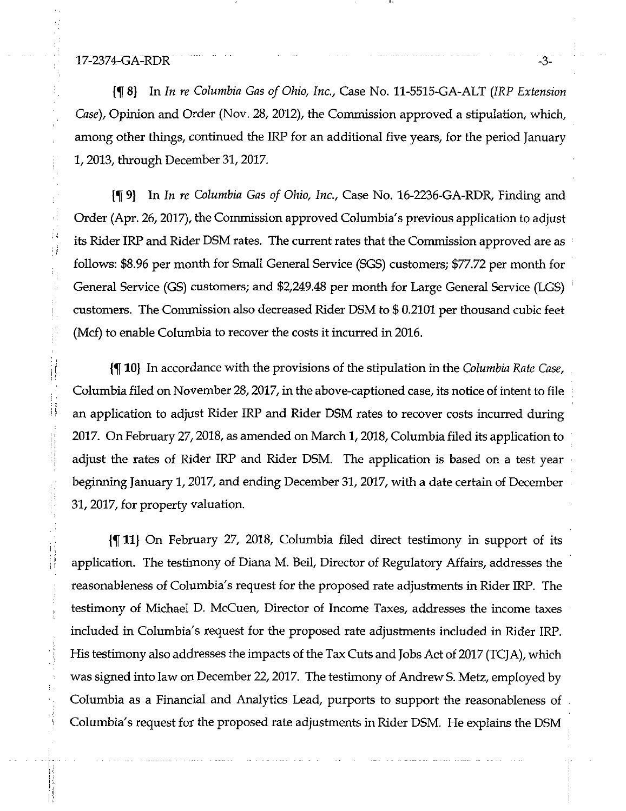#### 17-2374-GA-RDR

 $\langle \rangle$  . Ð

IJ

8} In In re Columbia Gas of Ohio, Inc., Case No. 11-5515-GA-ALT {IRP Extension Case), Opinion and Order (Nov. 28, 2012), the Commission approved a stipulation, which, among other things, continued the IRP for an additional five years, for the period January 1,2013, through December 31,2017.

\% 9} In In re Columbia Gas of Ohio, Inc., Case No. 16-2236-GA-RDR, Finding and Order (Apr. 26, 2017), the Commission approved Columbia's previous application to adjust its Rider IRP and Rider DSM rates. The current rates that the Commission approved are as follows: \$8.96 per month for Small General Service (SGS) customers; \$77.72 per month for General Service (GS) customers; and \$2,249.48 per month for Large General Service (LGS) customers. The Commission also decreased Rider DSM to \$ 0.2101 per thousand cubic feet (Mcf) to enable Columbia to recover the costs it incurred in 2016.

 $\{\P 10\}$  In accordance with the provisions of the stipulation in the Columbia Rate Case, Columbia filed on November 28, 2017, in the above-captioned case, its notice of intent to file an application to adjust Rider IRP and Rider DSM rates to recover costs incurred during 2017. On February 27,2018, as amended on March 1,2018, Columbia filed its application to adjust the rates of Rider IRP and Rider DSM. The application is based on a test year beginning January 1,2017, and ending December 31,2017, with a date certain of December 31, 2017, for property valuation.

11} On February 27, 2018, Columbia filed direct testimony in support of its application. The testimony of Diana M. Beil, Director of Regulatory Affairs, addresses the reasonableness of Columbia's request for the proposed rate adjustments in Rider IRP. The testimony of Michael D. McCuen, Director of Income Taxes, addresses the income taxes included in Columbia's request for the proposed rate adjustments included in Rider IRP. His testimony also addresses the impacts of the Tax Cuts and Jobs Act of 2017 (TCJA), which was signed into law on December 22, 2017. The testimony of Andrew S. Metz, employed by Columbia as a Financial and Analytics Lead, purports to support the reasonableness of Columbia's request for the proposed rate adjustments in Rider DSM. He explains the DSM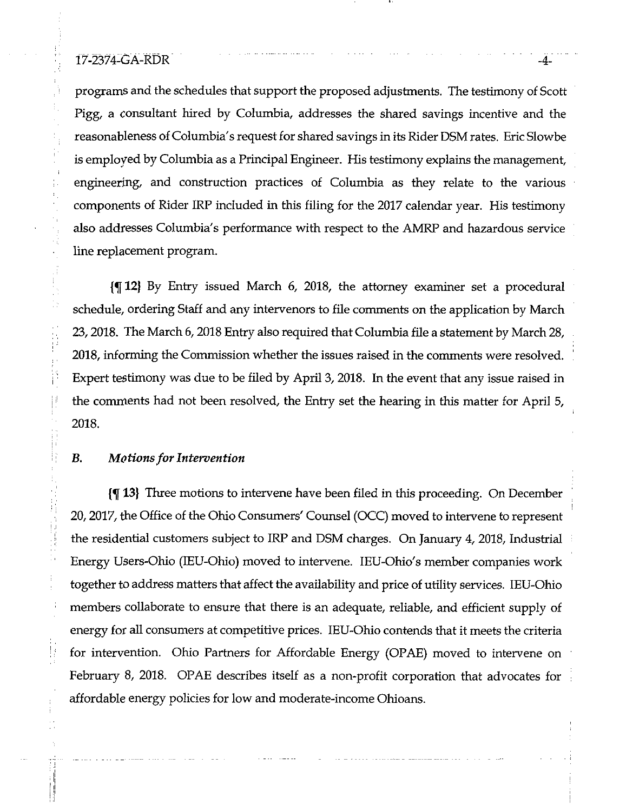## 17-2374-GA-RDR -4-

programs and the schedules that support the proposed adjustments. The testimony of Scott Pigg, a consultant hired by Columbia, addresses the shared savings incentive and the reasonableness of Columbia's request for shared savings in its Rider DSM rates. Eric Slowbe is employed by Columbia as a Principal Engineer. His testimony explains the management, engineering, and construction practices of Columbia as they relate to the various components of Rider IRP included in this filing for the 2017 calendar year. His testimony also addresses Columbia's performance with respect to the AMRP and hazardous service line replacement program.

(^12} By Entry issued March 6, 2018, the attorney examiner set a procedural schedule, ordering Staff and any intervenors to file comments on the application by March 23, 2018. The March 6, 2018 Entry also required that Columbia file a statement by March 28, 2018, informing the Commission whether the issues raised in the comments were resolved. Expert testimony was due to be filed by April 3, 2018. In the event that any issue raised in the comments had not been resolved, the Entry set the hearing in this matter for April 5, 2018.

## *B. MotionsforIntervention*

13} Three motions to intervene have been filed in this proceeding. On December 20,2017, the Office of the Ohio Consumers' Counsel (OCC) moved to intervene to represent the residential customers subject to IRP and DSM charges. On January 4, 2018, Industrial Energy Users-Ohio (lEU-Ohio) moved to intervene. lEU-Ohio's member companies work together to address matters that affect the availability and price of utility services. IEU-Ohio members collaborate to ensure that there is an adequate, reliable, and efficient supply of energy for all consumers at competitive prices. lEU-Ohio contends that it meets the criteria for intervention. Ohio Partners for Affordable Energy (OPAE) moved to intervene on February 8, 2018. OPAE describes itself as a non-profit corporation that advocates for affordable energy policies for low and moderate-income Ohioans.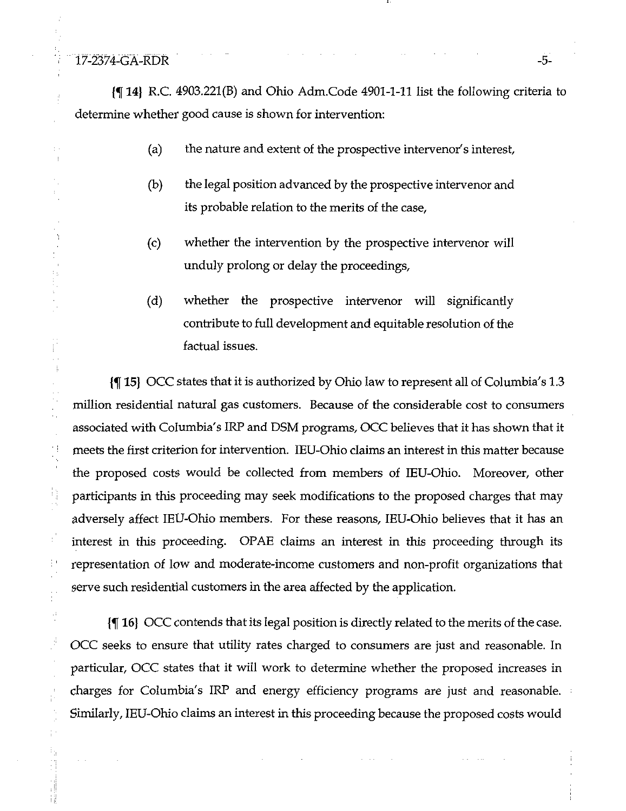17-2374-GA-RDR -5-

 $\begin{array}{c} \begin{array}{c} \begin{array}{c} \end{array} \\ \begin{array}{c} \end{array} \end{array} \end{array}$ 

 $\frac{1}{2}$ 

B

Ŧ,

 $\frac{1}{2}$  )

 $\mathbb{Z}^4$ 

÷,

14| R.C. 4903.221(B) and Ohio Adm.Code 4901-1-11 list the following criteria to determine whether good cause is shown for intervention:

- (a) the nature and extent of the prospective intervenor's interest,
- (b) the legal position advanced by the prospective intervenor and its probable relation to the merits of the case,
- (c) whether the intervention by the prospective intervenor will unduly prolong or delay the proceedings,
- (d) whether the prospective intervenor will significantly contribute to full development and equitable resolution of the factual issues.

15) OCC states that it is authorized by Ohio law to represent all of Columbia's 1.3 million residential natural gas customers. Because of the considerable cost to consumers associated with Columbia's IRP and DSM programs, OCC believes that it has shown that it meets the first criterion for intervention. lEU-Ohio claims an interest in this matter because the proposed costs would be collected from members of lEU-Ohio. Moreover, other participants in this proceeding may seek modifications to the proposed charges that may adversely affect lEU-Ohio members. For these reasons, lEU-Ohio believes that it has an interest in this proceeding. OPAE claims an interest in this proceeding through its representation of low and moderate-income customers and non-profit organizations that serve such residential customers in the area affected by the application.

 $\{\P\}$  16} OCC contends that its legal position is directly related to the merits of the case. OCC seeks to ensure that utility rates charged to consumers are just and reasonable. In particular, OCC states that it will work to determine whether the proposed increases in charges for Columbia's IRP and energy efficiency programs are just and reasonable. Similarly, lEU-Ohio claims an interest in this proceeding because the proposed costs would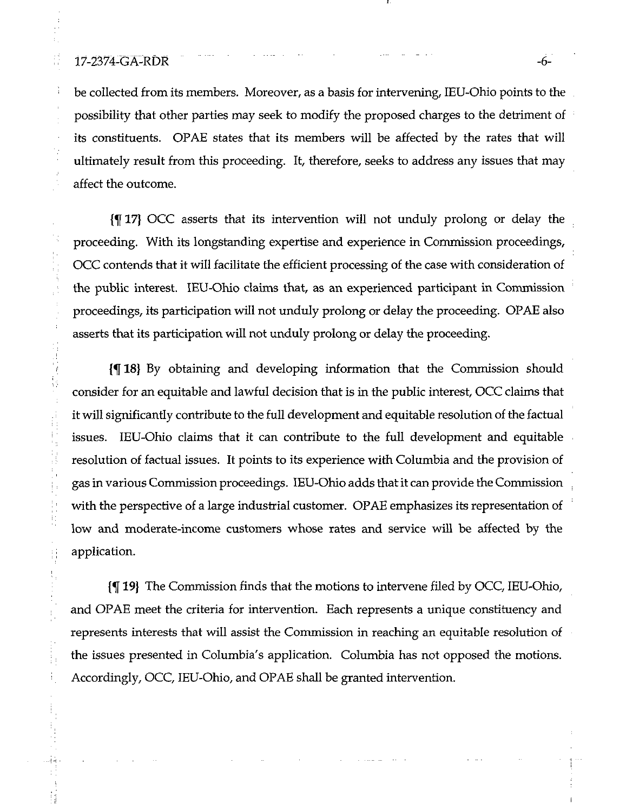### $17-2374-GA-RDR$  -6-

be collected from its members. Moreover, as a basis for intervening, lEU-Ohio points to the possibility that other parties may seek to modify the proposed charges to the detriment of its constituents. OPAE states that its members will be affected by the rates that will ultimately result from this proceeding. It, therefore, seeks to address any issues that may affect the outcome.

17} OCC asserts that its intervention will not unduly prolong or delay the proceeding. With its longstanding expertise and experience in Commission proceedings, OCC contends that it will facilitate the efficient processing of the case with consideration of the public interest. lEU-Ohio claims that, as an experienced participant in Commission proceedings, its participation will not unduly prolong or delay the proceeding. OPAE also asserts that its participation will not unduly prolong or delay the proceeding.

{f 18) By obtaining and developing information that the Commission should consider for an equitable and lawful decision that is in the public interest, OCC claims that itwill significantly contribute to the full development and equitable resolution of the factual issues. lEU-Ohio claims that it can contribute to the full development and equitable resolution of factual issues. It points to its experience with Columbia and the provision of gasin various Commission proceedings. lEU-Ohio addsthatit can provide theCommission with the perspective of a large industrial customer. OPAE emphasizes its representation of low and moderate-income customers whose rates and service will be affected by the application.

19} The Commission finds that the motions to intervene filed by OCC, lEU-Ohio, and OPAE meet the criteria for intervention. Each represents a unique constituency and represents interests that will assist the Commission in reaching an equitable resolution of the issues presented in Columbia's application. Columbia has not opposed the motions. Accordingly, OCC, lEU-Ohio, and OPAE shall be granted intervention.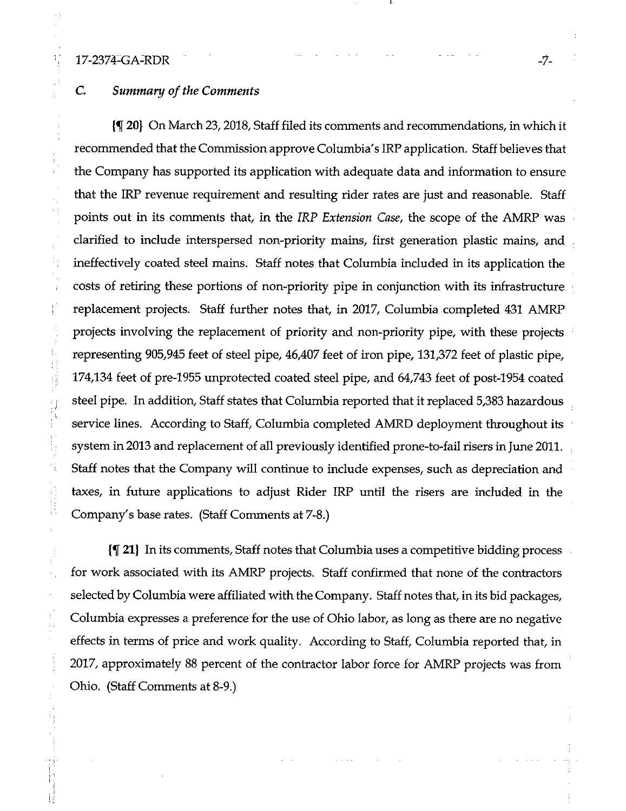#### 17-2374-GA-RDR **-7-**

 $\|$  .  $\frac{1}{2}$ 

核

### *C.* Summary of the Comments

{5[ 20} On March 23,2018, Staff filed its comments and recommendations, in which it recommended that theCommission approve Columbia's IRP application. Staff believes that the Company has supported its application with adequate data and information to ensure that the IRP revenue requirement and resulting rider rates are just and reasonable. Staff points out in its comments that, in the IRF Extension Case, the scope of the AMRP was clarified to include interspersed non-priority mains, first generation plastic mains, and ineffectively coated steel mains. Staff notes that Columbia included in its application the costs of retiring these portions of non-priority pipe in conjunction with its infrastructure replacement projects. Staff further notes that, in 2017, Columbia completed 431 AMRP projects involving the replacement of priority and non-priority pipe, with these projects representing 905,945 feet of steel pipe, 46,407 feet of iron pipe, 131,372 feet of plastic pipe, 174,134 feet of pre-1955 unprotected coated steel pipe, and 64,743 feet of post-1954 coated steel pipe. In addition. Staff states that Columbia reported that it replaced 5,383 hazardous service lines. According to Staff, Columbia completed AMRD deployment throughout its system in 2013 and replacement of all previously identified prone-to-fail risers in June 2011. Staff notes that the Company will continue to include expenses, such as depreciation and taxes, in future applications to adjust Rider IRP until the risers are included in the Company's base rates. (Staff Comments at 7-8.)

 $\{\P 21\}$  In its comments, Staff notes that Columbia uses a competitive bidding process for work associated with its AMRP projects. Staff confirmed that none of the contractors selected by Columbia were affiliated with the Company. Staff notes that, in its bid packages, Columbia expresses a preference for the use of Ohio labor, as long as there are no negative effects in terms of price and work quality. According to Staff, Columbia reported that, in 2017, approximately 88 percent of the contractor labor force for AMRP projects was from Ohio. (Staff Comments at 8-9.)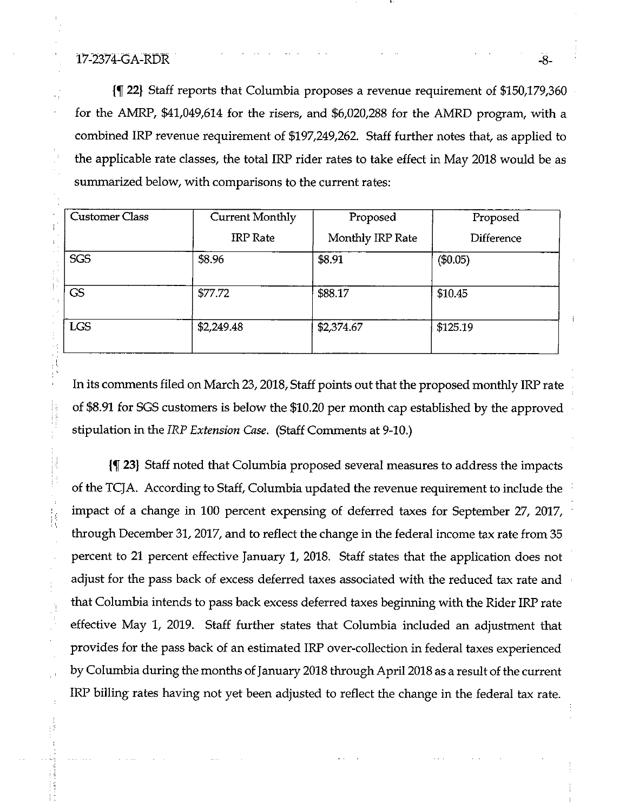### 17-2374-GA-RDR -8-

ţ,

22) Staff reports that Columbia proposes a revenue requirement of \$150,179,360 for the AMRP, \$41,049,614 for the risers, and \$6,020,288 for the AMRD program, with a combined IRP revenue requirement of \$197,249,262. Staff further notes that, as applied to the applicable rate classes, the total IRP rider rates to take effect in May 2018 would be as summarized below, with comparisons to the current rates:

| <b>Customer Class</b> | <b>Current Monthly</b> | Proposed         | Proposed   |
|-----------------------|------------------------|------------------|------------|
|                       | <b>IRP</b> Rate        | Monthly IRP Rate | Difference |
| <b>SGS</b>            | \$8.96                 | \$8.91           | (\$0.05)   |
| <b>GS</b>             | \$77.72                | \$88.17          | \$10.45    |
| <b>LGS</b>            | \$2,249.48             | \$2,374.67       | \$125.19   |

In its comments filed on March 23, 2018, Staff points out that the proposed monthly IRP rate of \$8.91 for SGS customers is below the \$10.20 per month cap established by the approved stipulation in the IRP Extension Case. (Staff Comments at 9-10.)

23} Staff noted that Columbia proposed several measures to address the impacts of the TCJA. According to Staff, Columbia updated the revenue requirement to include the impact of a change in 100 percent expensing of deferred taxes for September 27, 2017, through December 31, 2017, and to reflect the change in the federal income tax rate from 35 percent to 21 percent effective January 1, 2018. Staff states that the application does not adjust for the pass back of excess deferred taxes associated with the reduced tax rate and that Columbia intends to pass back excess deferred taxes beginning with the Rider IRP rate effective May 1, 2019. Staff further states that Columbia included an adjustment that provides for the pass back of an estimated IRP over-collection in federal taxes experienced by Columbia during the months of January 2018 through April 2018 as a result of the current IRP billing rates having not yet been adjusted to reflect the change in the federal tax rate.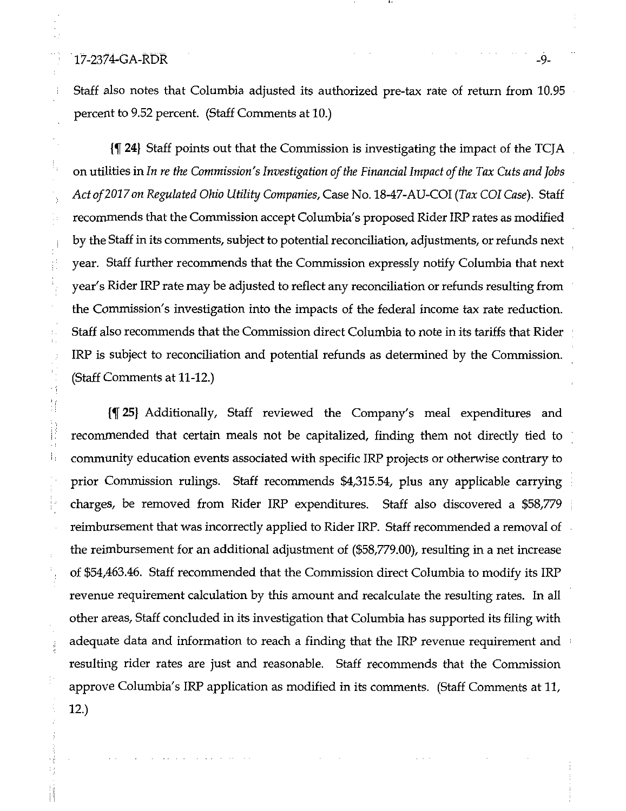# 17-2374-GA-RDR -9-

÷,

ţ,

H

 $\begin{bmatrix} 1 \\ 1 \\ 1 \end{bmatrix}$  $\sim$  ) ١, Staff also notes that Columbia adjusted its authorized pre-tax rate of return from 10.95 percent to 9.52 percent. (Staff Comments at 10.)

 $\{\P$  24} Staff points out that the Commission is investigating the impact of the TCJA on utilities in In re the Commission's Investigation of the Financial Impact of the Tax Cuts and Jobs Act of 2017 on Regulated Ohio Utility Companies, Case No. 18-47-AU-COI (Tax COI Case). Staff recommends that the Commission accept Columbia's proposed Rider IRP rates as modified by the Staff in its comments, subject to potential reconciliation, adjustments, or refunds next year. Staff further recommends that the Commission expressly notify Columbia that next year's Rider IRP rate may be adjusted to reflect any reconciliation or refunds resulting from the Commission's investigation into the impacts of the federal income tax rate reduction. Staff also recommends that the Commission direct Columbia to note in its tariffs that Rider IRP is subject to reconciliation and potential refunds as determined by the Commission. (Staff Comments at 11-12.)

25) Additionally, Staff reviewed the Company's meal expenditures and recommended that certain meals not be capitalized, finding them not directly tied to community education events associated with specific IRP projects or otherwise contrary to prior Commission rulings. Staff recommends \$4,315.54, plus any applicable carrying charges, be removed from Rider IRP expenditures. Staff also discovered a \$58,779 reimbursement that was incorrectly applied to Rider IRP. Staff recommended a removal of the reimbursement for an additional adjustment of (\$58,779.00), resulting in a net increase of \$54,463.46. Staff recommended that the Commission direct Columbia to modify its IRP revenue requirement calculation by this amount and recalculate the resulting rates. In all other areas. Staff concluded in its investigation that Columbia has supported its filing with adequate data and information to reach a finding that the IRP revenue requirement and resulting rider rates are just and reasonable. Staff recommends that the Commission approve Columbia's IRP application as modified in its comments. (Staff Comments at 11, 12.)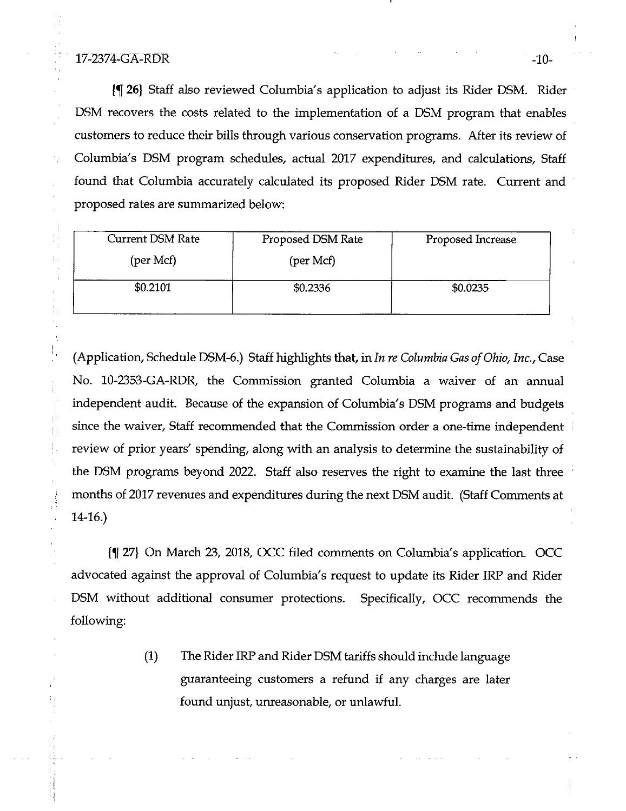# 17-2374-GA-RDR -10-

 $\mathbf{i}$ 

ţ.

 $\mathbb{F}_2$ 

{f 26) Staff also reviewed Columbia's application to adjust its Rider DSM. Rider DSM recovers the costs related to the implementation of a DSM program that enables customers to reduce their bills through various conservation programs. After its review of Columbia's DSM program schedules, actual 2017 expenditures, and calculations. Staff found that Columbia accurately calculated its proposed Rider DSM rate. Current and proposed rates are summarized below:

| <b>Current DSM Rate</b> | Proposed DSM Rate | Proposed Increase |
|-------------------------|-------------------|-------------------|
| (per Mcf)               | (per Mcf)         |                   |
| \$0.2101                | \$0.2336          | \$0.0235          |

(Application, Schedule DSM-6.) Staff highlights that, in In re Columbia Gas of Ohio, Inc., Case No. 10-2353-GA-RDR, the Commission granted Columbia a waiver of an annual independent audit. Because of the expansion of Columbia's DSM programs and budgets since the waiver, Staff recommended that the Commission order a one-time independent review of prior years' spending, along with an analysis to determine the sustainability of the DSM programs beyond 2022. Staff also reserves the right to examine the last three months of 2017 revenues and expenditures during the next DSM audit. (Staff Comments at 14-16.)

27} On March 23, 2018, OCC filed coinments on Columbia's application. OCC advocated against the approval of Columbia's request to update its Rider IRP and Rider DSM without additional consumer protections. Specifically, OCC recommends the following:

> (1) The Rider IRP and Rider DSM tariffs should include language guaranteeing customers a refund if any charges are later found unjust, unreasonable, or unlawful.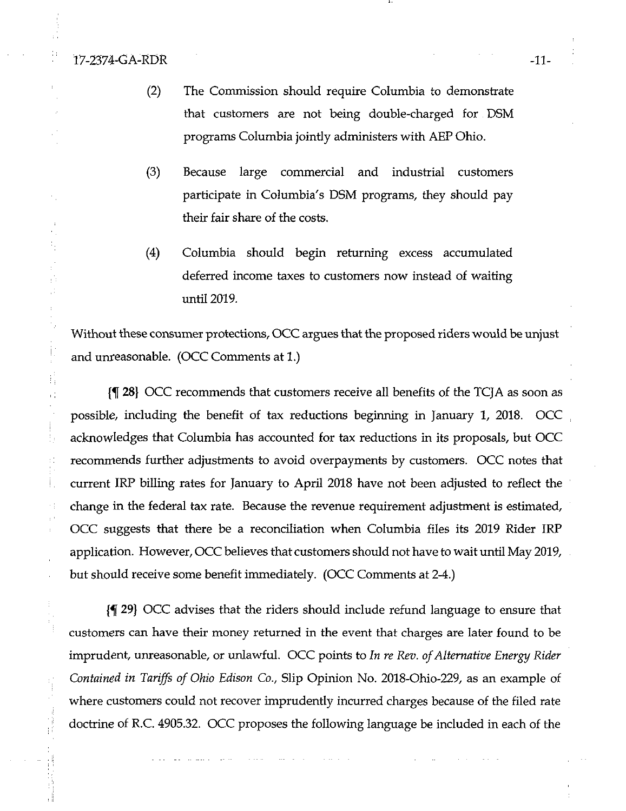#### 17-2374-GA-RDR -11-

j.

ĥ  $\mathcal{C}^{\prime}_{\mathcal{A}}$ 

ţ,

÷

- (2) The Commission should require Columbia to demonstrate that customers are not being double-charged for DSM programs Columbia jointly administers with AEP Ohio.
- (3) Because large commercial and industrial customers participate in Columbia's DSM programs, they should pay their fair share of the costs,
- (4) Columbia should begin returning excess accumulated deferred income taxes to customers now instead of waiting until 2019.

Without these consumer protections, OCC argues that the proposed riders would be unjust and unreasonable. (OCC Comments at 1.)

{f 28} OCC recommends that customers receive all benefits of the TCJA as soon as possible, including the benefit of tax reductions beginning in January 1, 2018. OCC acknowledges that Columbia has accounted for tax reductions in its proposals, but OCC recommends further adjustments to avoid overpayments by customers. OCC notes that current IRP billing rates for January to April 2018 have not been adjusted to reflect the change in the federal tax rate. Because the revenue requirement adjustment is estimated, OCC suggests that there be a reconciliation when Columbia files its 2019 Rider IRP application. However, OCC believes that customers should not have to wait until May 2019, but should receive some benefit immediately. (OCC Comments at 2-4.)

29} OCC advises that the riders should include refund language to ensure that customers can have their money returned in the event that charges are later found to be imprudent, unreasonable, or unlawful. OCC points to In re Rev. of Alternative Energy Rider Contained in Tariffs of Ohio Edison Co., Slip Opinion No. 2018-Ohio-229, as an example of where customers could not recover imprudently incurred charges because of the filed rate doctrine of R.C. 4905.32. OCC proposes the following language be included in each of the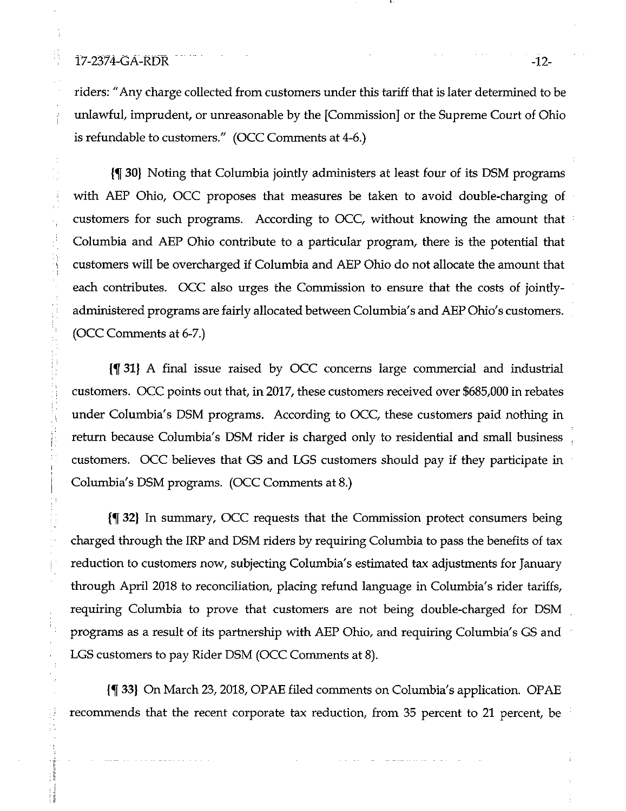# 17-2374-GA-RDR -12-

B

riders: "Any charge collected from customers under this tariff that is later determined to be unlawful, imprudent, or unreasonable by the [Commission] or the Supreme Court of Ohio is refundable to customers." (OCC Comments at 4-6.)

{f 30) Noting that Columbia jointly adnunisters at least four of its DSM programs with AEP Ohio, OCC proposes that measures be taken to avoid double-charging of customers for such programs. According to OCC, without knowing the amount that Columbia and AEP Ohio contribute to a particular program, there is the potential that customers will be overcharged if Columbia and AEP Ohio do not allocate the amount that each contributes. OCC also urges the Commission to ensure that the costs of jointlyadministered programs are fairly allocated between Columbia's and AEP Ohio's customers. (OCC Comments at 6-7.)

{f 31} A final issue raised by OCC concerns large commercial and industrial customers. OCC points out that, in 2017, these customers received over \$685,000 in rebates under Columbia's DSM programs. According to OCC, these customers paid nothing in return because Columbia's DSM rider is charged only to residential and small business customers. OCC believes that GS and LGS customers should pay if they participate in Columbia's DSM programs. (OCC Comments at 8.)

(f 32} In summary, OCC requests that the Commission protect consumers being charged through the IRP and DSM riders by requiring Columbia to pass the benefits of tax reduction to customers now, subjecting Columbia's estimated tax adjustments for January through April 2018 to reconciliation, placing refund language in Columbia's rider tariffs, requiring Columbia to prove that customers are not being double-charged for DSM programs as a result of its partnership with AEP Ohio, and requiring Columbia's GS and LGS customers to pay Rider DSM (OCC Comments at 8).

33} On March 23, 2018, OPAE filed comments on Columbia's application. OPAE recommends that the recent corporate tax reduction, from 35 percent to 21 percent, be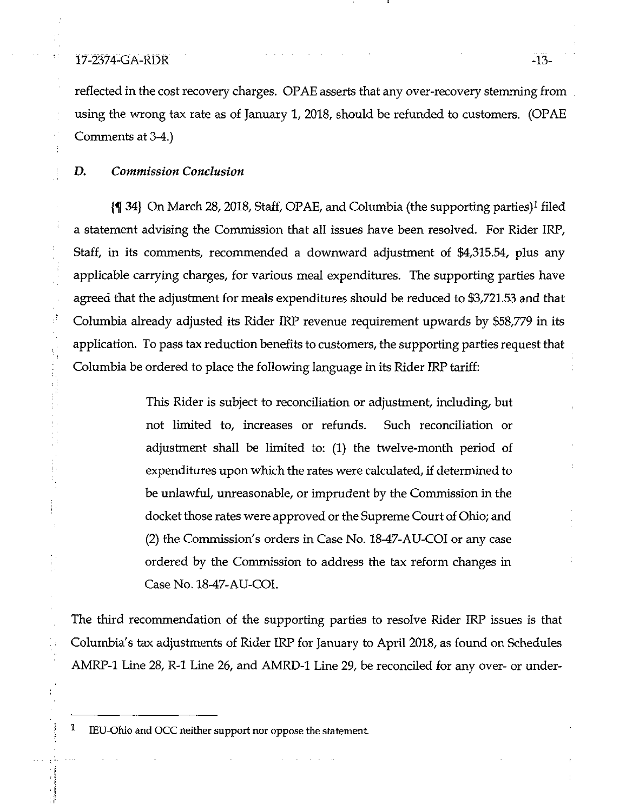# 17-2374-GA-RDR -13-

 $\pm^3$ 

reflected in the cost recovery charges. OPAE asserts that any over-recovery stemming from using the wrong tax rate as of January 1, 2018, should be refunded to customers. (OPAE Comments at 3-4.)

# *D. Commission Conclusion*

 $\{\P\}$  34) On March 28, 2018, Staff, OPAE, and Columbia (the supporting parties)<sup>1</sup> filed a statement advising the Commission that all issues have been resolved. For Rider IRP, Staff, in its comments, recommended a downward adjustment of \$4,315.54, plus any applicable carrying charges, for various meal expenditures. The supporting parties have agreed that the adjustment for meals expenditures should be reduced to \$3,721.53 and that Columbia already adjusted its Rider IRP revenue requirement upwards by \$58,779 in its application. To pass tax reduction benefits to customers, the supporting parties request that Columbia be ordered to place the following language in its Rider IRP tariff:

> This Rider is subject to reconciliation or adjustment, including, but not limited to, increases or refunds. Such reconciliation or adjustment shall be limited to: (1) the twelve-month period of expenditures upon which the rates were calculated, if determined to be unlawful, unreasonable, or imprudent by the Commission in the docket those rates were approved or the Supreme Court of Ohio; and (2) the Commission's orders in Case No. 18-47-AU-COI or any case ordered by the Commission to address the tax reform changes in Case No. 18-47-AU-COI.

The third recommendation of the supporting parties to resolve Rider IRP issues is that Columbia's tax adjustments of Rider IRP for January to April 2018, as found on Schedules AMRP-1 Line 28, R-1 Line 26, and AMRD-1 Line 29, be reconciled for any over- or under-

<sup>1</sup> lEU-Ohio and OCC neither support nor oppose the statement.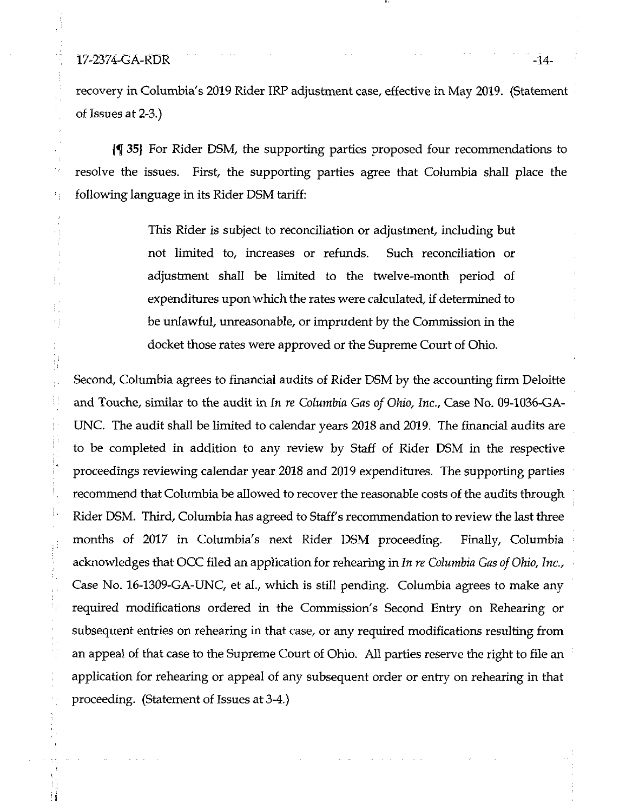#### 17-2374-GA-RDR -14-

Ť.  $\left\{ \cdot \right\}$ 

ť

recovery in Columbia's 2019 Rider IRP adjustment case, effective in May 2019. (Statement of Issues at 2-3.)

35} For Rider DSM, the supporting parties proposed four recommendations to resolve the issues. First, the supporting parties agree that Columbia shall place the following language in its Rider DSM tariff:

> This Rider is subject to reconciliation or adjustment, including but not limited to, increases or refunds. Such reconciliation or adjustment shall be limited to the twelve-month period of expenditures upon which the rates were calculated, if determined to be unlawful, unreasonable, or imprudent by the Commission in the docket those rates were approved or the Supreme Court of Ohio.

Second, Columbia agrees to financial audits of Rider DSM by the accounting firm Deloitte and Touche, similar to the audit in fn re Columbia Gas of Ohio, Inc., Case No. 09-1036-GA-UNC. The audit shall be limited to calendar years 2018 and 2019. The financial audits are to be completed in addition to any review by Staff of Rider DSM in the respective proceedings reviewing calendar year 2018 and 2019 expenditures. The supporting parties recommend that Columbia be allowed to recover the reasonable costs of the audits through Rider DSM. Third, Columbia has agreed to Staff's recommendation to review the last three months of 2017 in Columbia's next Rider DSM proceeding. Finally, Columbia acknowledges that OCC filed an application for rehearing in In re Columbia Gas of Ohio, Inc., Case No. 16-1309-GA-UNC, et al., which is still pending. Columbia agrees to make any required modifications ordered in the Commission's Second Entry on Rehearing or subsequent entries on rehearing in that case, or any required modifications resulting from an appeal of that case to the Supreme Court of Ohio. All parties reserve the right to file an application for rehearing or appeal of any subsequent order or entry on rehearing in that proceeding. (Statement of Issues at 3-4.)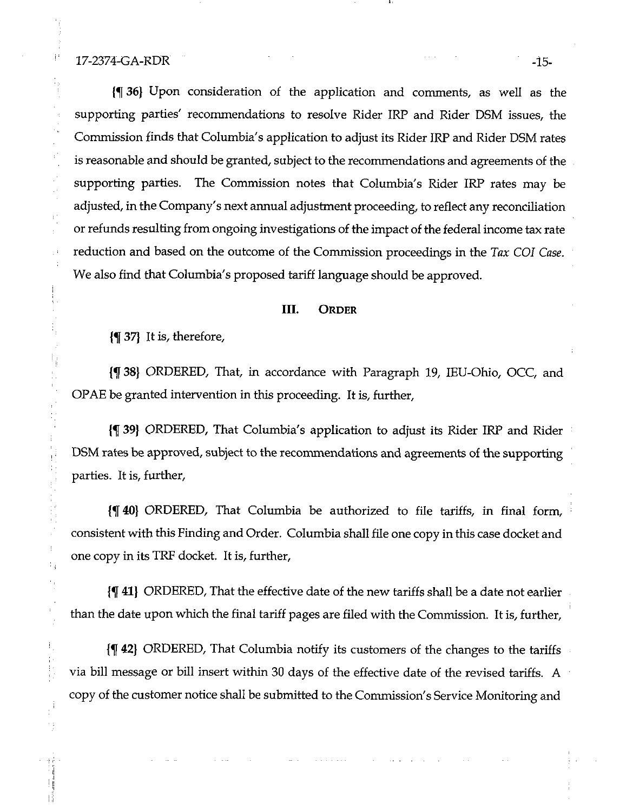[ 36] Upon consideration of the application and comments, as well as the supporting parties' recommendations to resolve Rider IRP and Rider DSM issues, the Commission finds that Columbia's application to adjust its Rider IRP and Rider DSM rates is reasonable and should be granted, subject to the recommendations and agreements of the supporting parties. The Commission notes that Columbia's Rider IRP rates may be adjusted, in the Company's next annual adjustment proceeding, to reflect any reconciliation or refunds resulting from ongoing investigations of the impact of the federal income tax rate reduction and based on the outcome of the Commission proceedings in the Tax COI Case. We also find that Columbia's proposed tariff language should be approved.

#### Ш. ORDER

37} It is, therefore.

38} ORDERED, That, in accordance with Paragraph 19, lEU-Ohio, OCC, and OPAE be granted intervention in this proceeding. It is, further,

39} ORDERED, That Columbia's application to adjust its Rider IRP and Rider DSM rates be approved, subject to the recommendations and agreements of the supporting parties. It is, further,

40} ORDERED, That Columbia be authorized to file tariffs, in final form, consistent with this Finding and Order. Columbia shall file one copy in this case docket and one copy in its TRF docket. It is, further,

41} ORDERED, That the effective date of the new tariffs shall be a date not earlier than the date upon which the final tariff pages are filed with the Commission. It is, further,

42} ORDERED, That Columbia notify its customers of the changes to the tariffs via bill message or bill insert within 30 days of the effective date of the revised tariffs. A copy of the customer notice shall be submitted to the Commission's Service Monitoring and